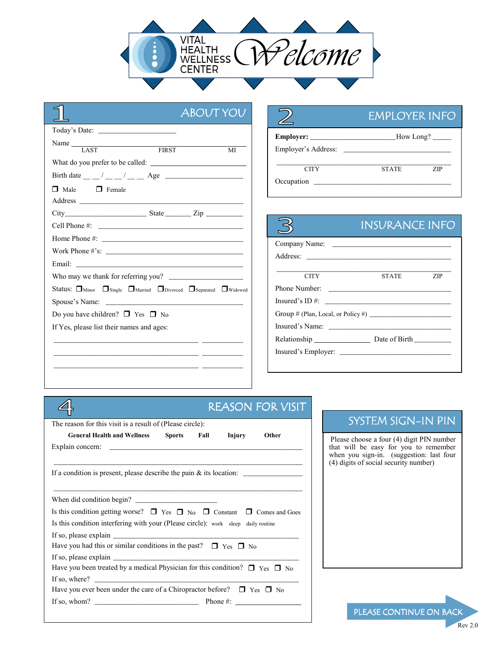

|                                                                                                      | <b>ABOUT YOU</b> |
|------------------------------------------------------------------------------------------------------|------------------|
| Today's Date: The Contract of the Contract of Today's Date:                                          |                  |
| Name LAST FIRST                                                                                      |                  |
|                                                                                                      | MI               |
| What do you prefer to be called:                                                                     |                  |
|                                                                                                      |                  |
| $\Box$ Male $\Box$ Female                                                                            |                  |
|                                                                                                      |                  |
|                                                                                                      |                  |
|                                                                                                      |                  |
|                                                                                                      |                  |
|                                                                                                      |                  |
|                                                                                                      |                  |
|                                                                                                      |                  |
| Status: <b>I</b> Minor Single <b>I</b> Married <b>I</b> Divorced <b>I</b> Separated <b>I</b> Widowed |                  |
| Spouse's Name:                                                                                       |                  |
| Do you have children? $\Box$ Yes $\Box$ No                                                           |                  |
| If Yes, please list their names and ages:                                                            |                  |
|                                                                                                      |                  |
|                                                                                                      |                  |
|                                                                                                      |                  |

|                     | <b>EMPLOYER INFO</b> |           |
|---------------------|----------------------|-----------|
| Employer's Address: |                      | How Long? |
| <b>CITY</b>         | <b>STATE</b>         | ZIP       |

#### INSURANCE INFO

| Company Name:                                                                                                                                                                                                                                                                                   |           |  |
|-------------------------------------------------------------------------------------------------------------------------------------------------------------------------------------------------------------------------------------------------------------------------------------------------|-----------|--|
|                                                                                                                                                                                                                                                                                                 |           |  |
|                                                                                                                                                                                                                                                                                                 |           |  |
| <b>CITY</b>                                                                                                                                                                                                                                                                                     | STATE ZIP |  |
| Phone Number:                                                                                                                                                                                                                                                                                   |           |  |
| Insured's ID #: $\frac{1}{2}$ = $\frac{1}{2}$ = $\frac{1}{2}$ = $\frac{1}{2}$ = $\frac{1}{2}$ = $\frac{1}{2}$ = $\frac{1}{2}$ = $\frac{1}{2}$ = $\frac{1}{2}$ = $\frac{1}{2}$ = $\frac{1}{2}$ = $\frac{1}{2}$ = $\frac{1}{2}$ = $\frac{1}{2}$ = $\frac{1}{2}$ = $\frac{1}{2}$ = $\frac{1}{2}$ = |           |  |
|                                                                                                                                                                                                                                                                                                 |           |  |
|                                                                                                                                                                                                                                                                                                 |           |  |
| Relationship Date of Birth                                                                                                                                                                                                                                                                      |           |  |
| Insured's Employer:                                                                                                                                                                                                                                                                             |           |  |
|                                                                                                                                                                                                                                                                                                 |           |  |

### REASON FOR VISIT

 $\overline{\mathcal{B}}$ 

|                                                                                             |  | <b>REASON FOR VISIT</b> |
|---------------------------------------------------------------------------------------------|--|-------------------------|
| The reason for this visit is a result of (Please circle):                                   |  |                         |
| General Health and Wellness Sports Fall                                                     |  | Injury Other            |
|                                                                                             |  |                         |
|                                                                                             |  |                         |
|                                                                                             |  |                         |
| Is this condition getting worse? $\Box$ Yes $\Box$ No $\Box$ Constant $\Box$ Comes and Goes |  |                         |
| Is this condition interfering with your (Please circle): work sleep daily routine           |  |                         |
|                                                                                             |  |                         |
| Have you had this or similar conditions in the past? $\Box$ Yes $\Box$ No                   |  |                         |
|                                                                                             |  |                         |
| Have you been treated by a medical Physician for this condition? $\Box$ Yes $\Box$ No       |  |                         |
| If so, where? $\qquad \qquad$                                                               |  |                         |
| Have you ever been under the care of a Chiropractor before? $\square$ Yes $\square$ No      |  |                         |
|                                                                                             |  |                         |

# SYSTEM SIGN-IN PIN

Please choose a four (4) digit PIN number that will be easy for you to remember when you sign-in. (suggestion: last four (4) digits of social security number)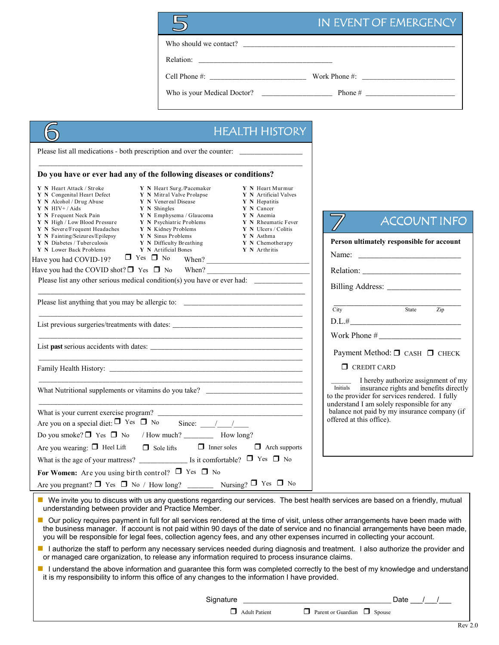|                                                                                                                                                                                                                                                                                                                                         |                                                                                                                                                                                                                                                              |                                                                                                                                                                                          | IN EVENT OF EMERGENCY                                                                                                                                                                     |
|-----------------------------------------------------------------------------------------------------------------------------------------------------------------------------------------------------------------------------------------------------------------------------------------------------------------------------------------|--------------------------------------------------------------------------------------------------------------------------------------------------------------------------------------------------------------------------------------------------------------|------------------------------------------------------------------------------------------------------------------------------------------------------------------------------------------|-------------------------------------------------------------------------------------------------------------------------------------------------------------------------------------------|
|                                                                                                                                                                                                                                                                                                                                         |                                                                                                                                                                                                                                                              |                                                                                                                                                                                          |                                                                                                                                                                                           |
|                                                                                                                                                                                                                                                                                                                                         |                                                                                                                                                                                                                                                              |                                                                                                                                                                                          |                                                                                                                                                                                           |
|                                                                                                                                                                                                                                                                                                                                         |                                                                                                                                                                                                                                                              |                                                                                                                                                                                          |                                                                                                                                                                                           |
|                                                                                                                                                                                                                                                                                                                                         |                                                                                                                                                                                                                                                              |                                                                                                                                                                                          |                                                                                                                                                                                           |
|                                                                                                                                                                                                                                                                                                                                         |                                                                                                                                                                                                                                                              | <b>HEALTH HISTORY</b>                                                                                                                                                                    |                                                                                                                                                                                           |
| Please list all medications - both prescription and over the counter:                                                                                                                                                                                                                                                                   |                                                                                                                                                                                                                                                              |                                                                                                                                                                                          |                                                                                                                                                                                           |
|                                                                                                                                                                                                                                                                                                                                         |                                                                                                                                                                                                                                                              |                                                                                                                                                                                          |                                                                                                                                                                                           |
| Do you have or ever had any of the following diseases or conditions?                                                                                                                                                                                                                                                                    |                                                                                                                                                                                                                                                              |                                                                                                                                                                                          |                                                                                                                                                                                           |
| Y N Heart Attack / Stroke<br>Y N Congenital Heart Defect<br>Y N Alcohol / Drug Abuse<br>$Y$ N HIV+/Aids<br>Y N Shingles<br>Y N Frequent Neck Pain<br>Y N High / Low Blood Pressure<br>Y N Severe/Frequent Headaches<br>Y N Fainting/Seizures/Epilepsy<br>Y N Diabetes / Tuberculosis<br>Y N Lower Back Problems<br>$\Box$ Yes $\Box$ No | Y N Heart Surg./Pacemaker<br>Y N Mitral Valve Prolapse<br>Y N Venereal Disease<br>Y N Emphysema / Glaucoma<br>Y N Psychiatric Problems<br>Y N Kidney Problems<br><b>Y</b> N Sinus Problems<br><b>Y</b> N Difficulty Breathing<br><b>Y</b> N Artificial Bones | Y N Heart Murmur<br>Y N Artificial Valves<br>Y N Hepatitis<br>Y N Cancer<br>Y N Anemia<br>Y N Rheumatic Fever<br>Y N Ulcers / Colitis<br>Y N Asthma<br>Y N Chemotherapy<br>Y N Arthritis | <b>ACCOUNT INFO</b><br>Person ultimately responsible for account                                                                                                                          |
| Have you had COVID-19?<br>Have you had the COVID shot? $\Box$ Yes $\Box$ No                                                                                                                                                                                                                                                             |                                                                                                                                                                                                                                                              | When?<br>When?                                                                                                                                                                           |                                                                                                                                                                                           |
| Please list any other serious medical condition(s) you have or ever had: ______________                                                                                                                                                                                                                                                 |                                                                                                                                                                                                                                                              |                                                                                                                                                                                          |                                                                                                                                                                                           |
|                                                                                                                                                                                                                                                                                                                                         |                                                                                                                                                                                                                                                              |                                                                                                                                                                                          |                                                                                                                                                                                           |
| Please list anything that you may be allergic to: ______________________________                                                                                                                                                                                                                                                        |                                                                                                                                                                                                                                                              |                                                                                                                                                                                          | State<br>$\overline{\text{City}}$<br>Zip                                                                                                                                                  |
| List previous surgeries/treatments with dates: __________________________________                                                                                                                                                                                                                                                       |                                                                                                                                                                                                                                                              |                                                                                                                                                                                          | D.L.#                                                                                                                                                                                     |
|                                                                                                                                                                                                                                                                                                                                         | <u> 1989 - Johann John Stone, markin film yn y system yn y system yn y system yn y system yn y system yn y system</u>                                                                                                                                        |                                                                                                                                                                                          | Payment Method: □ CASH □ CHECK                                                                                                                                                            |
|                                                                                                                                                                                                                                                                                                                                         |                                                                                                                                                                                                                                                              |                                                                                                                                                                                          | $\Box$ CREDIT CARD                                                                                                                                                                        |
| What Nutritional supplements or vitamins do you take?                                                                                                                                                                                                                                                                                   |                                                                                                                                                                                                                                                              |                                                                                                                                                                                          | I hereby authorize assignment of my<br>Initials<br>insurance rights and benefits directly<br>to the provider for services rendered. I fully<br>understand I am solely responsible for any |
|                                                                                                                                                                                                                                                                                                                                         |                                                                                                                                                                                                                                                              |                                                                                                                                                                                          | balance not paid by my insurance company (if                                                                                                                                              |
| Are you on a special diet: $\Box$ Yes $\Box$ No                                                                                                                                                                                                                                                                                         | Since: $\frac{1}{\sqrt{1-\frac{1}{2}}}$                                                                                                                                                                                                                      |                                                                                                                                                                                          | offered at this office).                                                                                                                                                                  |
|                                                                                                                                                                                                                                                                                                                                         |                                                                                                                                                                                                                                                              |                                                                                                                                                                                          |                                                                                                                                                                                           |

■ We invite you to discuss with us any questions regarding our services. The best health services are based on a friendly, mutual understanding between provider and Practice Member.

Nursing?  $\Box$  Yes  $\Box$  No

 $\Box$  Sole lifts  $\Box$  Inner soles  $\Box$  Arch supports

Are you wearing:  $\Box$  Heel Lift

What is the age of your mattress? \_\_\_\_\_\_\_\_\_\_\_\_\_ Is it comfortable? Yes No

For Women: Are you using birth control?  $\Box$  Yes  $\Box$  No

Are you pregnant?  $\Box$  Yes  $\Box$  No / How long?

- Our policy requires payment in full for all services rendered at the time of visit, unless other arrangements have been made with the business manager. If account is not paid within 90 days of the date of service and no financial arrangements have been made, you will be responsible for legal fees, collection agency fees, and any other expenses incurred in collecting your account.
- I authorize the staff to perform any necessary services needed during diagnosis and treatment. I also authorize the provider and or managed care organization, to release any information required to process insurance claims.
- I understand the above information and guarantee this form was completed correctly to the best of my knowledge and understand it is my responsibility to inform this office of any changes to the information I have provided.

 $\Box$  Adult Patient  $\Box$  Parent or Guardian  $\Box$  Spouse